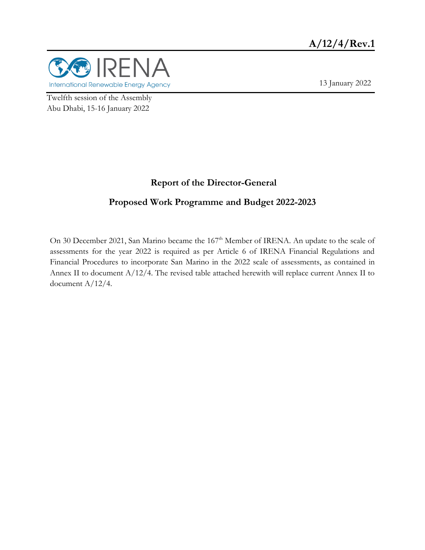

13 January 2022

Twelfth session of the Assembly Abu Dhabi, 15-16 January 2022

### **Report of the Director-General**

### **Proposed Work Programme and Budget 2022-2023**

On 30 December 2021, San Marino became the 167<sup>th</sup> Member of IRENA. An update to the scale of assessments for the year 2022 is required as per Article 6 of IRENA Financial Regulations and Financial Procedures to incorporate San Marino in the 2022 scale of assessments, as contained in Annex II to document A/12/4. The revised table attached herewith will replace current Annex II to document A/12/4.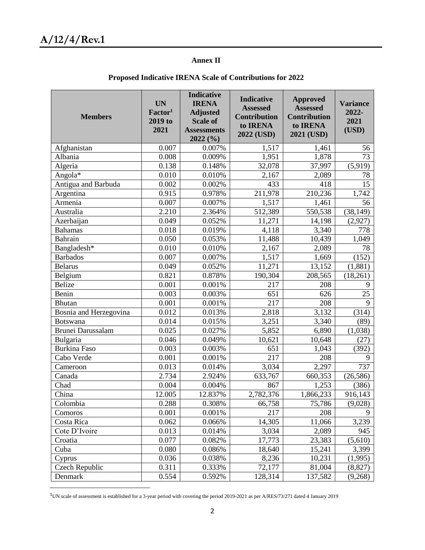$\overline{a}$ 

#### **Annex II**

| <b>Members</b>           | <b>UN</b><br>Factor <sup>1</sup><br>2019 to<br>2021 | <b>Indicative</b><br><b>IRENA</b><br><b>Adjusted</b><br><b>Scale of</b><br><b>Assessments</b><br>2022 (%) | <b>Indicative</b><br><b>Assessed</b><br><b>Contribution</b><br>to IRENA<br>2022 (USD) | <b>Approved</b><br><b>Assessed</b><br><b>Contribution</b><br>to IRENA<br>2021 (USD) | <b>Variance</b><br>2022-<br>2021<br>(USD) |
|--------------------------|-----------------------------------------------------|-----------------------------------------------------------------------------------------------------------|---------------------------------------------------------------------------------------|-------------------------------------------------------------------------------------|-------------------------------------------|
| Afghanistan              | 0.007                                               | 0.007%                                                                                                    | 1,517                                                                                 | 1,461                                                                               | 56                                        |
| Albania                  | 0.008                                               | 0.009%                                                                                                    | 1,951                                                                                 | 1,878                                                                               | 73                                        |
| Algeria                  | 0.138                                               | 0.148%                                                                                                    | 32,078                                                                                | 37,997                                                                              | $\overline{(5,919)}$                      |
| Angola*                  | 0.010                                               | 0.010%                                                                                                    | 2,167                                                                                 | 2,089                                                                               | 78                                        |
| Antigua and Barbuda      | 0.002                                               | 0.002%                                                                                                    | 433                                                                                   | 418                                                                                 | 15                                        |
| Argentina                | 0.915                                               | 0.978%                                                                                                    | 211,978                                                                               | 210,236                                                                             | 1,742                                     |
| Armenia                  | 0.007                                               | 0.007%                                                                                                    | 1,517                                                                                 | 1,461                                                                               | 56                                        |
| Australia                | 2.210                                               | 2.364%                                                                                                    | 512,389                                                                               | 550,538                                                                             | (38, 149)                                 |
| Azerbaijan               | 0.049                                               | 0.052%                                                                                                    | 11,271                                                                                | 14,198                                                                              | (2,927)                                   |
| <b>Bahamas</b>           | 0.018                                               | 0.019%                                                                                                    | 4,118                                                                                 | 3,340                                                                               | 778                                       |
| Bahrain                  | 0.050                                               | 0.053%                                                                                                    | 11,488                                                                                | 10,439                                                                              | 1,049                                     |
| Bangladesh*              | 0.010                                               | 0.010%                                                                                                    | 2,167                                                                                 | 2,089                                                                               | 78                                        |
| <b>Barbados</b>          | 0.007                                               | 0.007%                                                                                                    | 1,517                                                                                 | 1,669                                                                               | (152)                                     |
| <b>Belarus</b>           | 0.049                                               | 0.052%                                                                                                    | 11,271                                                                                | 13,152                                                                              | (1,881)                                   |
| Belgium                  | 0.821                                               | 0.878%                                                                                                    | 190,304                                                                               | 208,565                                                                             | (18,261)                                  |
| <b>Belize</b>            | 0.001                                               | 0.001%                                                                                                    | 217                                                                                   | 208                                                                                 | 9                                         |
| Benin                    | 0.003                                               | 0.003%                                                                                                    | 651                                                                                   | 626                                                                                 | 25                                        |
| <b>Bhutan</b>            | 0.001                                               | 0.001%                                                                                                    | 217                                                                                   | 208                                                                                 | 9                                         |
| Bosnia and Herzegovina   | 0.012                                               | 0.013%                                                                                                    | 2,818                                                                                 | 3,132                                                                               | (314)                                     |
| <b>Botswana</b>          | 0.014                                               | 0.015%                                                                                                    | 3,251                                                                                 | 3,340                                                                               | (89)                                      |
| <b>Brunei Darussalam</b> | 0.025                                               | 0.027%                                                                                                    | 5,852                                                                                 | 6,890                                                                               | (1,038)                                   |
| Bulgaria                 | 0.046                                               | 0.049%                                                                                                    | 10,621                                                                                | 10,648                                                                              | (27)                                      |
| <b>Burkina Faso</b>      | 0.003                                               | 0.003%                                                                                                    | 651                                                                                   | 1,043                                                                               | (392)                                     |
| Cabo Verde               | 0.001                                               | 0.001%                                                                                                    | 217                                                                                   | 208                                                                                 | 9                                         |
| Cameroon                 | 0.013                                               | 0.014%                                                                                                    | 3,034                                                                                 | 2,297                                                                               | 737                                       |
| Canada                   | 2.734                                               | 2.924%                                                                                                    | 633,767                                                                               | 660,353                                                                             | (26, 586)                                 |
| Chad                     | 0.004                                               | 0.004%                                                                                                    | 867                                                                                   | 1,253                                                                               | (386)                                     |
| China                    | 12.005                                              | 12.837%                                                                                                   | 2,782,376                                                                             | 1,866,233                                                                           | 916,143                                   |
| Colombia                 | 0.288                                               | 0.308%                                                                                                    | 66,758                                                                                | 75,786                                                                              | (9,028)                                   |
| Comoros                  | 0.001                                               | 0.001%                                                                                                    | 217                                                                                   | 208                                                                                 | $\mathbf Q$                               |
| Costa Rica               | 0.062                                               | 0.066%                                                                                                    | 14,305                                                                                | 11,066                                                                              | 3,239                                     |
| Cote D'Ivoire            | 0.013                                               | 0.014%                                                                                                    | 3,034                                                                                 | 2,089                                                                               | 945                                       |
| Croatia                  | 0.077                                               | 0.082%                                                                                                    | 17,773                                                                                | 23,383                                                                              | (5,610)                                   |
| Cuba                     | 0.080                                               | 0.086%                                                                                                    | 18,640                                                                                | 15,241                                                                              | 3,399                                     |
| Cyprus                   | 0.036                                               | 0.038%                                                                                                    | 8,236                                                                                 | 10,231                                                                              | (1,995)                                   |
| Czech Republic           | 0.311                                               | 0.333%                                                                                                    | 72,177                                                                                | 81,004                                                                              | (8,827)                                   |
| Denmark                  | 0.554                                               | 0.592%                                                                                                    | 128,314                                                                               | 137,582                                                                             | (9,268)                                   |

#### **Proposed Indicative IRENA Scale of Contributions for 2022**

<sup>1</sup>UN scale of assessment is established for a 3-year period with covering the period 2019-2021 as per A/RES/73/271 dated 4 January 2019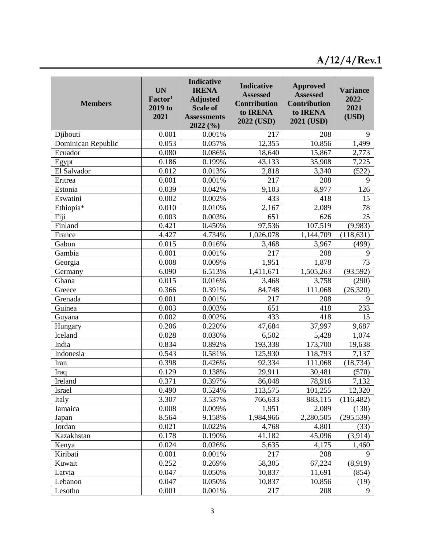# **A/12/4/Rev.1**

| <b>Members</b>     | <b>UN</b><br>Factor <sup>1</sup><br>2019 to<br>2021 | <b>Indicative</b><br><b>IRENA</b><br><b>Adjusted</b><br><b>Scale of</b><br><b>Assessments</b><br>2022(%) | <b>Indicative</b><br><b>Assessed</b><br>Contribution<br>to IRENA<br>2022 (USD) | <b>Approved</b><br><b>Assessed</b><br><b>Contribution</b><br>to IRENA<br>2021 (USD) | <b>Variance</b><br>2022-<br>2021<br>(USD) |
|--------------------|-----------------------------------------------------|----------------------------------------------------------------------------------------------------------|--------------------------------------------------------------------------------|-------------------------------------------------------------------------------------|-------------------------------------------|
| Djibouti           | 0.001                                               | 0.001%                                                                                                   | 217                                                                            | 208                                                                                 | 9                                         |
| Dominican Republic | 0.053                                               | 0.057%                                                                                                   | 12,355                                                                         | 10,856                                                                              | 1,499                                     |
| Ecuador            | 0.080                                               | 0.086%                                                                                                   | 18,640                                                                         | 15,867                                                                              | 2,773                                     |
| Egypt              | 0.186                                               | 0.199%                                                                                                   | 43,133                                                                         | 35,908                                                                              | 7,225                                     |
| El Salvador        | 0.012                                               | 0.013%                                                                                                   | 2,818                                                                          | 3,340                                                                               | (522)                                     |
| Eritrea            | 0.001                                               | 0.001%                                                                                                   | 217                                                                            | 208                                                                                 | 9                                         |
| Estonia            | 0.039                                               | 0.042%                                                                                                   | 9,103                                                                          | 8,977                                                                               | 126                                       |
| Eswatini           | 0.002                                               | 0.002%                                                                                                   | 433                                                                            | 418                                                                                 | 15                                        |
| Ethiopia*          | 0.010                                               | 0.010%                                                                                                   | 2,167                                                                          | 2,089                                                                               | 78                                        |
| Fiji               | 0.003                                               | 0.003%                                                                                                   | 651                                                                            | 626                                                                                 | 25                                        |
| Finland            | 0.421                                               | 0.450%                                                                                                   | 97,536                                                                         | 107,519                                                                             | (9,983)                                   |
| France             | 4.427                                               | 4.734%                                                                                                   | 1,026,078                                                                      | 1,144,709                                                                           | (118, 631)                                |
| Gabon              | 0.015                                               | 0.016%                                                                                                   | 3,468                                                                          | 3,967                                                                               | (499)                                     |
| Gambia             | 0.001                                               | 0.001%                                                                                                   | 217                                                                            | 208                                                                                 | 9                                         |
| Georgia            | 0.008                                               | 0.009%                                                                                                   | 1,951                                                                          | 1,878                                                                               | 73                                        |
| Germany            | 6.090                                               | 6.513%                                                                                                   | 1,411,671                                                                      | 1,505,263                                                                           | (93, 592)                                 |
| Ghana              | 0.015                                               | 0.016%                                                                                                   | 3,468                                                                          | 3,758                                                                               | (290)                                     |
| Greece             | 0.366                                               | 0.391%                                                                                                   | 84,748                                                                         | 111,068                                                                             | (26, 320)                                 |
| Grenada            | 0.001                                               | 0.001%                                                                                                   | 217                                                                            | 208                                                                                 | 9                                         |
| Guinea             | 0.003                                               | 0.003%                                                                                                   | 651                                                                            | 418                                                                                 | 233                                       |
| Guyana             | 0.002                                               | 0.002%                                                                                                   | 433                                                                            | 418                                                                                 | 15                                        |
| Hungary            | 0.206                                               | 0.220%                                                                                                   | 47,684                                                                         | 37,997                                                                              | 9,687                                     |
| Iceland            | 0.028                                               | 0.030%                                                                                                   | 6,502                                                                          | 5,428                                                                               | 1,074                                     |
| India              | 0.834                                               | 0.892%                                                                                                   | 193,338                                                                        | 173,700                                                                             | 19,638                                    |
| Indonesia          | 0.543                                               | 0.581%                                                                                                   | 125,930                                                                        | 118,793                                                                             | 7,137                                     |
| Iran               | 0.398                                               | 0.426%                                                                                                   | 92,334                                                                         | 111,068                                                                             | (18, 734)                                 |
| Iraq               | 0.129                                               | 0.138%                                                                                                   | 29,911                                                                         | 30,481                                                                              | (570)                                     |
| Ireland            | 0.371                                               | 0.397%                                                                                                   | 86,048                                                                         | 78,916                                                                              | 7,132                                     |
| Israel             | 0.490                                               | 0.524%                                                                                                   | 113,575                                                                        | 101,255                                                                             | 12,320                                    |
| Italy              | 3.307                                               | 3.537%                                                                                                   | 766,633                                                                        | 883,115                                                                             | (116, 482)                                |
| Jamaica            | 0.008                                               | 0.009%                                                                                                   | 1,951                                                                          | 2,089                                                                               | (138)                                     |
| Japan              | 8.564                                               | 9.158%                                                                                                   | 1,984,966                                                                      | 2,280,505                                                                           | (295, 539)                                |
| Jordan             | 0.021                                               | 0.022%                                                                                                   | 4,768                                                                          | 4,801                                                                               | (33)                                      |
| Kazakhstan         | 0.178                                               | 0.190%                                                                                                   | 41,182                                                                         | 45,096                                                                              | (3,914)                                   |
| Kenya              | 0.024                                               | 0.026%                                                                                                   | 5,635                                                                          | 4,175                                                                               | 1,460                                     |
| Kiribati           | 0.001                                               | 0.001%                                                                                                   | 217                                                                            | 208                                                                                 | 9                                         |
| Kuwait             | 0.252                                               | 0.269%                                                                                                   | 58,305                                                                         | 67,224                                                                              | (8,919)                                   |
| Latvia             | 0.047                                               | 0.050%                                                                                                   | 10,837                                                                         | 11,691                                                                              | (854)                                     |
| Lebanon            | 0.047                                               | 0.050%                                                                                                   | 10,837                                                                         | 10,856                                                                              | (19)                                      |
| Lesotho            | 0.001                                               | 0.001%                                                                                                   | 217                                                                            | 208                                                                                 | 9                                         |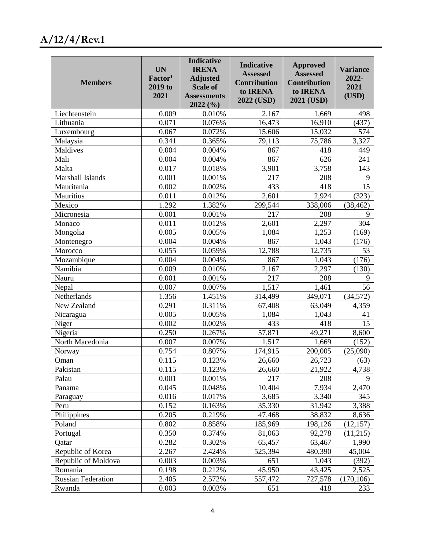# **A/12/4/Rev.1**

| <b>Members</b>            | <b>UN</b><br>Factor <sup>1</sup><br>2019 to<br>2021 | <b>Indicative</b><br><b>IRENA</b><br><b>Adjusted</b><br><b>Scale of</b><br><b>Assessments</b><br>2022(%) | <b>Indicative</b><br><b>Assessed</b><br><b>Contribution</b><br>to IRENA<br>2022 (USD) | <b>Approved</b><br><b>Assessed</b><br><b>Contribution</b><br>to IRENA<br>2021 (USD) | <b>Variance</b><br>2022-<br>2021<br>(USD) |
|---------------------------|-----------------------------------------------------|----------------------------------------------------------------------------------------------------------|---------------------------------------------------------------------------------------|-------------------------------------------------------------------------------------|-------------------------------------------|
| Liechtenstein             | 0.009                                               | 0.010%                                                                                                   | 2,167                                                                                 | 1,669                                                                               | 498                                       |
| Lithuania                 | 0.071                                               | 0.076%                                                                                                   | 16,473                                                                                | 16,910                                                                              | (437)                                     |
| Luxembourg                | 0.067                                               | 0.072%                                                                                                   | 15,606                                                                                | 15,032                                                                              | 574                                       |
| Malaysia                  | 0.341                                               | 0.365%                                                                                                   | 79,113                                                                                | 75,786                                                                              | 3,327                                     |
| Maldives                  | 0.004                                               | 0.004%                                                                                                   | 867                                                                                   | 418                                                                                 | 449                                       |
| Mali                      | 0.004                                               | 0.004%                                                                                                   | 867                                                                                   | 626                                                                                 | 241                                       |
| Malta                     | 0.017                                               | 0.018%                                                                                                   | 3,901                                                                                 | 3,758                                                                               | 143                                       |
| Marshall Islands          | 0.001                                               | 0.001%                                                                                                   | 217                                                                                   | 208                                                                                 | 9                                         |
| Mauritania                | 0.002                                               | 0.002%                                                                                                   | 433                                                                                   | 418                                                                                 | 15                                        |
| Mauritius                 | 0.011                                               | 0.012%                                                                                                   | 2,601                                                                                 | 2,924                                                                               | (323)                                     |
| Mexico                    | 1.292                                               | 1.382%                                                                                                   | 299,544                                                                               | 338,006                                                                             | (38, 462)                                 |
| Micronesia                | 0.001                                               | 0.001%                                                                                                   | 217                                                                                   | 208                                                                                 | 9                                         |
| Monaco                    | 0.011                                               | 0.012%                                                                                                   | 2,601                                                                                 | $\overline{2,297}$                                                                  | 304                                       |
| Mongolia                  | 0.005                                               | 0.005%                                                                                                   | 1,084                                                                                 | 1,253                                                                               | (169)                                     |
| Montenegro                | 0.004                                               | 0.004%                                                                                                   | 867                                                                                   | 1,043                                                                               | (176)                                     |
| Morocco                   | 0.055                                               | 0.059%                                                                                                   | 12,788                                                                                | 12,735                                                                              | 53                                        |
| Mozambique                | 0.004                                               | 0.004%                                                                                                   | 867                                                                                   | 1,043                                                                               | (176)                                     |
| Namibia                   | 0.009                                               | 0.010%                                                                                                   | 2,167                                                                                 | 2,297                                                                               | (130)                                     |
| Nauru                     | 0.001                                               | 0.001%                                                                                                   | 217                                                                                   | 208                                                                                 | 9                                         |
| Nepal                     | 0.007                                               | 0.007%                                                                                                   | 1,517                                                                                 | 1,461                                                                               | 56                                        |
| Netherlands               | 1.356                                               | 1.451%                                                                                                   | 314,499                                                                               | 349,071                                                                             | (34, 572)                                 |
| New Zealand               | 0.291                                               | 0.311%                                                                                                   | 67,408                                                                                | 63,049                                                                              | 4,359                                     |
| Nicaragua                 | 0.005                                               | 0.005%                                                                                                   | 1,084                                                                                 | 1,043                                                                               | 41                                        |
| Niger                     | 0.002                                               | 0.002%                                                                                                   | 433                                                                                   | 418                                                                                 | 15                                        |
| Nigeria                   | 0.250                                               | 0.267%                                                                                                   | 57,871                                                                                | 49,271                                                                              | 8,600                                     |
| North Macedonia           | 0.007                                               | 0.007%                                                                                                   | 1,517                                                                                 | 1,669                                                                               | (152)                                     |
| Norway                    | 0.754                                               | 0.807%                                                                                                   | 174,915                                                                               | 200,005                                                                             | (25,090)                                  |
| Oman                      | 0.115                                               | 0.123%                                                                                                   | 26,660                                                                                | 26,723                                                                              | (63)                                      |
| Pakistan                  | 0.115                                               | 0.123%                                                                                                   | 26,660                                                                                | 21,922                                                                              | 4,738                                     |
| Palau                     | 0.001                                               | 0.001%                                                                                                   | 217                                                                                   | 208                                                                                 | 9                                         |
| Panama                    | 0.045                                               | 0.048%                                                                                                   | 10,404                                                                                | 7,934                                                                               | 2,470                                     |
| Paraguay                  | 0.016                                               | 0.017%                                                                                                   | 3,685                                                                                 | 3,340                                                                               | 345                                       |
| Peru                      | 0.152                                               | 0.163%                                                                                                   | 35,330                                                                                | 31,942                                                                              | 3,388                                     |
| Philippines               | 0.205                                               | 0.219%                                                                                                   | 47,468                                                                                | 38,832                                                                              | 8,636                                     |
| Poland                    | 0.802                                               | 0.858%                                                                                                   | 185,969                                                                               | 198,126                                                                             | (12, 157)                                 |
| Portugal                  | 0.350                                               | 0.374%                                                                                                   | 81,063                                                                                | 92,278                                                                              | (11,215)                                  |
| Qatar                     | 0.282                                               | 0.302%                                                                                                   | 65,457                                                                                | 63,467                                                                              | 1,990                                     |
| Republic of Korea         | 2.267                                               | 2.424%                                                                                                   | 525,394                                                                               | 480,390                                                                             | 45,004                                    |
| Republic of Moldova       | 0.003                                               | 0.003%                                                                                                   | 651                                                                                   | 1,043                                                                               | (392)                                     |
| Romania                   | 0.198                                               | 0.212%                                                                                                   | 45,950                                                                                | 43,425                                                                              | 2,525                                     |
| <b>Russian Federation</b> | 2.405                                               | 2.572%                                                                                                   | 557,472                                                                               | 727,578                                                                             | (170, 106)                                |
| Rwanda                    | 0.003                                               | 0.003%                                                                                                   | 651                                                                                   | 418                                                                                 | 233                                       |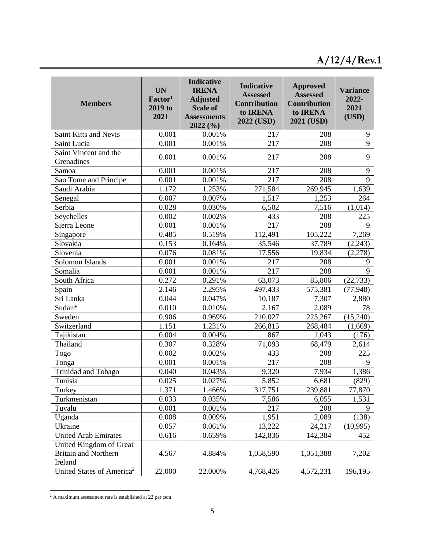| <b>Members</b>                         | <b>UN</b><br>Factor <sup>1</sup><br>2019 to<br>2021 | <b>Indicative</b><br><b>IRENA</b><br><b>Adjusted</b><br><b>Scale of</b><br><b>Assessments</b><br>2022(%) | <b>Indicative</b><br><b>Assessed</b><br><b>Contribution</b><br>to IRENA<br>2022 (USD) | <b>Approved</b><br><b>Assessed</b><br><b>Contribution</b><br>to IRENA<br>2021 (USD) | <b>Variance</b><br>2022-<br>2021<br>(USD) |
|----------------------------------------|-----------------------------------------------------|----------------------------------------------------------------------------------------------------------|---------------------------------------------------------------------------------------|-------------------------------------------------------------------------------------|-------------------------------------------|
| Saint Kitts and Nevis                  | 0.001                                               | 0.001%                                                                                                   | 217                                                                                   | 208                                                                                 | 9                                         |
| Saint Lucia                            | 0.001                                               | 0.001%                                                                                                   | 217                                                                                   | 208                                                                                 | $\overline{9}$                            |
| Saint Vincent and the                  | 0.001                                               | $0.001\%$                                                                                                | 217                                                                                   | 208                                                                                 | 9                                         |
| Grenadines                             |                                                     |                                                                                                          |                                                                                       |                                                                                     |                                           |
| Samoa                                  | 0.001                                               | 0.001%                                                                                                   | 217                                                                                   | 208                                                                                 | 9                                         |
| Sao Tome and Principe                  | 0.001                                               | 0.001%                                                                                                   | 217                                                                                   | 208                                                                                 | 9                                         |
| Saudi Arabia                           | 1.172                                               | 1.253%                                                                                                   | 271,584                                                                               | 269,945                                                                             | 1,639                                     |
| Senegal                                | 0.007                                               | 0.007%                                                                                                   | 1,517                                                                                 | 1,253                                                                               | 264                                       |
| Serbia                                 | 0.028                                               | 0.030%                                                                                                   | 6,502                                                                                 | 7,516                                                                               | (1,014)                                   |
| Seychelles                             | 0.002                                               | 0.002%                                                                                                   | 433                                                                                   | 208                                                                                 | 225                                       |
| Sierra Leone                           | 0.001                                               | 0.001%                                                                                                   | 217                                                                                   | 208                                                                                 | 9                                         |
| Singapore                              | 0.485                                               | 0.519%                                                                                                   | $\overline{1}$ 12,491                                                                 | 105,222                                                                             | 7,269                                     |
| Slovakia                               | 0.153                                               | 0.164%                                                                                                   | 35,546                                                                                | 37,789                                                                              | (2, 243)                                  |
| Slovenia                               | 0.076                                               | 0.081%                                                                                                   | 17,556                                                                                | 19,834                                                                              | (2,278)                                   |
| Solomon Islands                        | 0.001                                               | 0.001%                                                                                                   | 217                                                                                   | 208                                                                                 | 9                                         |
| Somalia                                | 0.001                                               | 0.001%                                                                                                   | 217                                                                                   | 208                                                                                 | 9                                         |
| South Africa                           | 0.272                                               | 0.291%                                                                                                   | 63,073                                                                                | 85,806                                                                              | (22, 733)                                 |
| Spain                                  | 2.146                                               | 2.295%                                                                                                   | 497,433                                                                               | 575,381                                                                             | (77, 948)                                 |
| Sri Lanka                              | 0.044                                               | 0.047%                                                                                                   | 10,187                                                                                | 7,307                                                                               | 2,880                                     |
| Sudan*                                 | 0.010                                               | 0.010%                                                                                                   | 2,167                                                                                 | 2,089                                                                               | 78                                        |
| Sweden                                 | 0.906                                               | 0.969%                                                                                                   | 210,027                                                                               | 225,267                                                                             | (15,240)                                  |
| Switzerland                            | 1.151                                               | 1.231%                                                                                                   | 266,815                                                                               | 268,484                                                                             | (1,669)                                   |
| Tajikistan                             | 0.004                                               | 0.004%                                                                                                   | 867                                                                                   | 1,043                                                                               | (176)                                     |
| Thailand                               | 0.307                                               | 0.328%                                                                                                   | 71,093                                                                                | 68,479                                                                              | 2,614                                     |
| Togo                                   | 0.002                                               | 0.002%                                                                                                   | 433                                                                                   | 208                                                                                 | 225                                       |
| Tonga                                  | 0.001                                               | 0.001%                                                                                                   | 217                                                                                   | 208                                                                                 | 9                                         |
| Trinidad and Tobago                    | 0.040                                               | 0.043%                                                                                                   | 9,320                                                                                 | 7,934                                                                               | 1,386                                     |
| Tunisia                                | 0.025                                               | 0.027%                                                                                                   | 5,852                                                                                 | 6,681                                                                               | (829)                                     |
| Turkey                                 | 1.371                                               | 1.466%                                                                                                   | 317,751                                                                               | 239,881                                                                             | 77,870                                    |
| Turkmenistan                           | 0.033                                               | 0.035%                                                                                                   | 7,586                                                                                 | 6,055                                                                               | 1,531                                     |
| Tuvalu                                 | 0.001                                               | 0.001%                                                                                                   | 217                                                                                   | 208                                                                                 | 9                                         |
| Uganda                                 | 0.008                                               | 0.009%                                                                                                   | 1,951                                                                                 | 2,089                                                                               | (138)                                     |
| Ukraine                                | 0.057                                               | 0.061%                                                                                                   | 13,222                                                                                | 24,217                                                                              | (10,995)                                  |
| <b>United Arab Emirates</b>            | 0.616                                               | 0.659%                                                                                                   | 142,836                                                                               | 142,384                                                                             | 452                                       |
| United Kingdom of Great                |                                                     |                                                                                                          |                                                                                       |                                                                                     |                                           |
| <b>Britain and Northern</b><br>Ireland | 4.567                                               | 4.884%                                                                                                   | 1,058,590                                                                             | 1,051,388                                                                           | 7,202                                     |
| United States of America <sup>2</sup>  | 22.000                                              | 22.000%                                                                                                  | 4,768,426                                                                             | 4,572,231                                                                           | 196,195                                   |

<sup>&</sup>lt;sup>2</sup> A maximum assessment rate is established at 22 per cent.

 $\overline{a}$